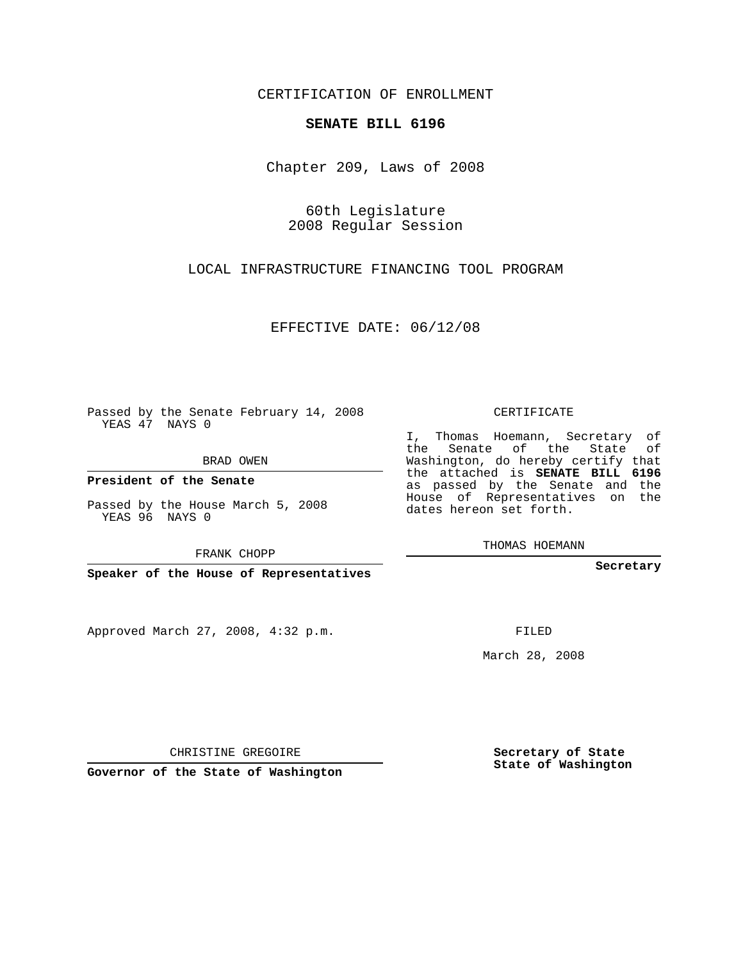CERTIFICATION OF ENROLLMENT

## **SENATE BILL 6196**

Chapter 209, Laws of 2008

60th Legislature 2008 Regular Session

LOCAL INFRASTRUCTURE FINANCING TOOL PROGRAM

EFFECTIVE DATE: 06/12/08

Passed by the Senate February 14, 2008 YEAS 47 NAYS 0

BRAD OWEN

**President of the Senate**

Passed by the House March 5, 2008 YEAS 96 NAYS 0

FRANK CHOPP

**Speaker of the House of Representatives**

Approved March 27, 2008, 4:32 p.m.

CERTIFICATE

I, Thomas Hoemann, Secretary of the Senate of the State of Washington, do hereby certify that the attached is **SENATE BILL 6196** as passed by the Senate and the House of Representatives on the dates hereon set forth.

THOMAS HOEMANN

**Secretary**

FILED

March 28, 2008

**Secretary of State State of Washington**

CHRISTINE GREGOIRE

**Governor of the State of Washington**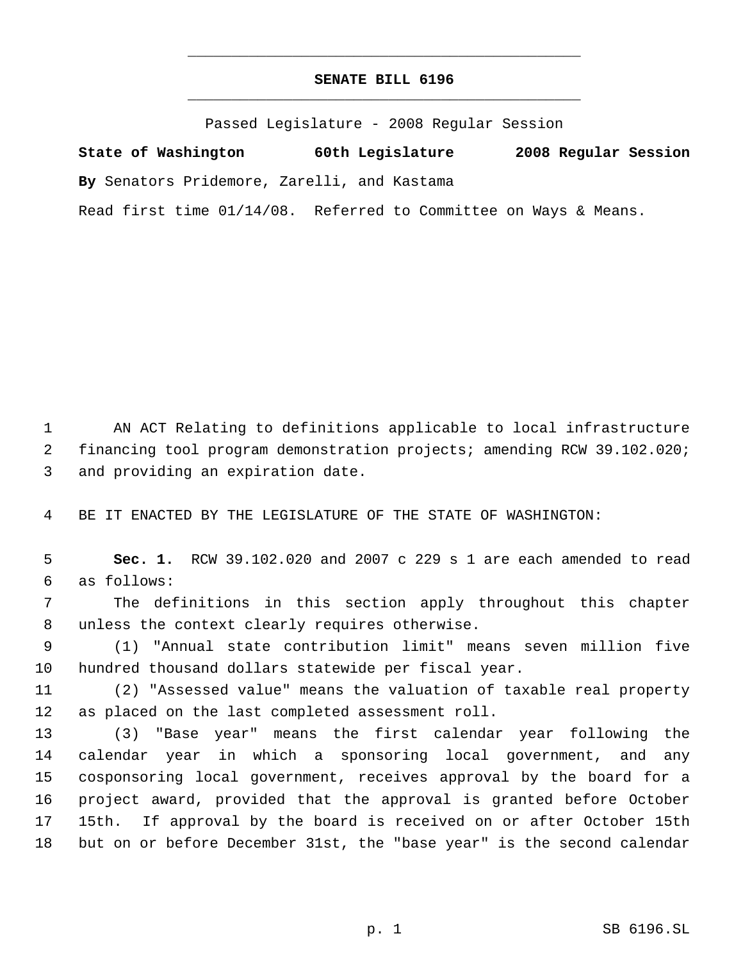## **SENATE BILL 6196** \_\_\_\_\_\_\_\_\_\_\_\_\_\_\_\_\_\_\_\_\_\_\_\_\_\_\_\_\_\_\_\_\_\_\_\_\_\_\_\_\_\_\_\_\_

\_\_\_\_\_\_\_\_\_\_\_\_\_\_\_\_\_\_\_\_\_\_\_\_\_\_\_\_\_\_\_\_\_\_\_\_\_\_\_\_\_\_\_\_\_

Passed Legislature - 2008 Regular Session

**State of Washington 60th Legislature 2008 Regular Session By** Senators Pridemore, Zarelli, and Kastama

Read first time 01/14/08. Referred to Committee on Ways & Means.

 AN ACT Relating to definitions applicable to local infrastructure financing tool program demonstration projects; amending RCW 39.102.020; and providing an expiration date.

BE IT ENACTED BY THE LEGISLATURE OF THE STATE OF WASHINGTON:

 **Sec. 1.** RCW 39.102.020 and 2007 c 229 s 1 are each amended to read as follows:

 The definitions in this section apply throughout this chapter unless the context clearly requires otherwise.

 (1) "Annual state contribution limit" means seven million five hundred thousand dollars statewide per fiscal year.

 (2) "Assessed value" means the valuation of taxable real property as placed on the last completed assessment roll.

 (3) "Base year" means the first calendar year following the calendar year in which a sponsoring local government, and any cosponsoring local government, receives approval by the board for a project award, provided that the approval is granted before October 15th. If approval by the board is received on or after October 15th but on or before December 31st, the "base year" is the second calendar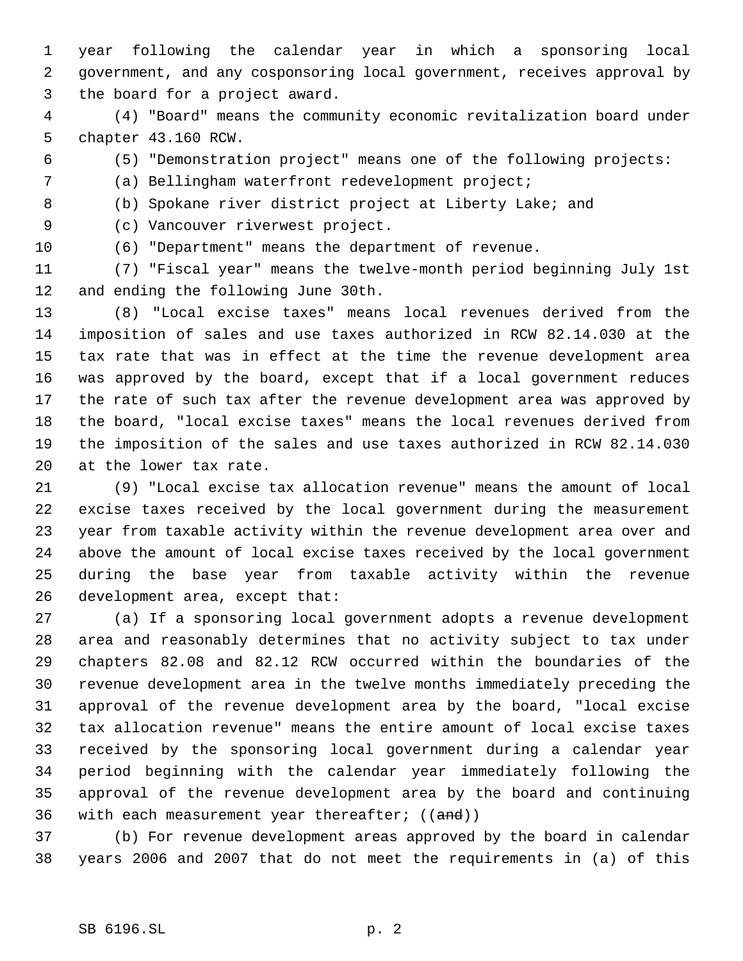year following the calendar year in which a sponsoring local government, and any cosponsoring local government, receives approval by the board for a project award.

 (4) "Board" means the community economic revitalization board under chapter 43.160 RCW.

(5) "Demonstration project" means one of the following projects:

(a) Bellingham waterfront redevelopment project;

(b) Spokane river district project at Liberty Lake; and

(c) Vancouver riverwest project.

(6) "Department" means the department of revenue.

 (7) "Fiscal year" means the twelve-month period beginning July 1st and ending the following June 30th.

 (8) "Local excise taxes" means local revenues derived from the imposition of sales and use taxes authorized in RCW 82.14.030 at the tax rate that was in effect at the time the revenue development area was approved by the board, except that if a local government reduces the rate of such tax after the revenue development area was approved by the board, "local excise taxes" means the local revenues derived from the imposition of the sales and use taxes authorized in RCW 82.14.030 at the lower tax rate.

 (9) "Local excise tax allocation revenue" means the amount of local excise taxes received by the local government during the measurement year from taxable activity within the revenue development area over and above the amount of local excise taxes received by the local government during the base year from taxable activity within the revenue development area, except that:

 (a) If a sponsoring local government adopts a revenue development area and reasonably determines that no activity subject to tax under chapters 82.08 and 82.12 RCW occurred within the boundaries of the revenue development area in the twelve months immediately preceding the approval of the revenue development area by the board, "local excise tax allocation revenue" means the entire amount of local excise taxes received by the sponsoring local government during a calendar year period beginning with the calendar year immediately following the approval of the revenue development area by the board and continuing 36 with each measurement year thereafter;  $((and))$ 

 (b) For revenue development areas approved by the board in calendar years 2006 and 2007 that do not meet the requirements in (a) of this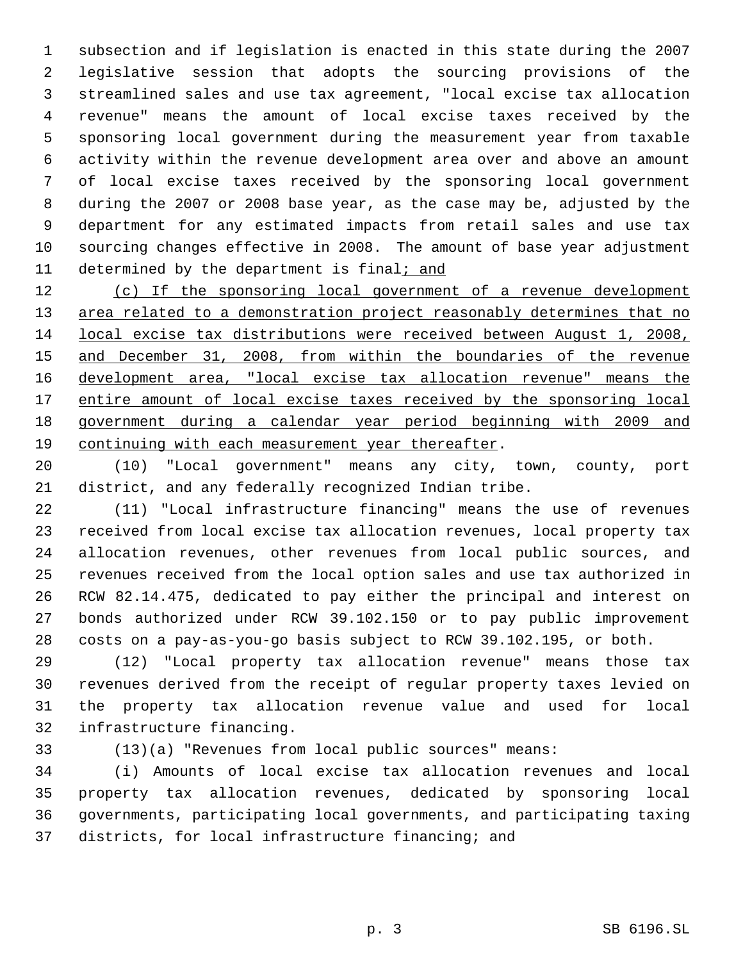subsection and if legislation is enacted in this state during the 2007 legislative session that adopts the sourcing provisions of the streamlined sales and use tax agreement, "local excise tax allocation revenue" means the amount of local excise taxes received by the sponsoring local government during the measurement year from taxable activity within the revenue development area over and above an amount of local excise taxes received by the sponsoring local government during the 2007 or 2008 base year, as the case may be, adjusted by the department for any estimated impacts from retail sales and use tax sourcing changes effective in 2008. The amount of base year adjustment determined by the department is final; and

 (c) If the sponsoring local government of a revenue development 13 area related to a demonstration project reasonably determines that no local excise tax distributions were received between August 1, 2008, and December 31, 2008, from within the boundaries of the revenue development area, "local excise tax allocation revenue" means the 17 entire amount of local excise taxes received by the sponsoring local government during a calendar year period beginning with 2009 and 19 continuing with each measurement year thereafter.

 (10) "Local government" means any city, town, county, port district, and any federally recognized Indian tribe.

 (11) "Local infrastructure financing" means the use of revenues received from local excise tax allocation revenues, local property tax allocation revenues, other revenues from local public sources, and revenues received from the local option sales and use tax authorized in RCW 82.14.475, dedicated to pay either the principal and interest on bonds authorized under RCW 39.102.150 or to pay public improvement costs on a pay-as-you-go basis subject to RCW 39.102.195, or both.

 (12) "Local property tax allocation revenue" means those tax revenues derived from the receipt of regular property taxes levied on the property tax allocation revenue value and used for local infrastructure financing.

(13)(a) "Revenues from local public sources" means:

 (i) Amounts of local excise tax allocation revenues and local property tax allocation revenues, dedicated by sponsoring local governments, participating local governments, and participating taxing districts, for local infrastructure financing; and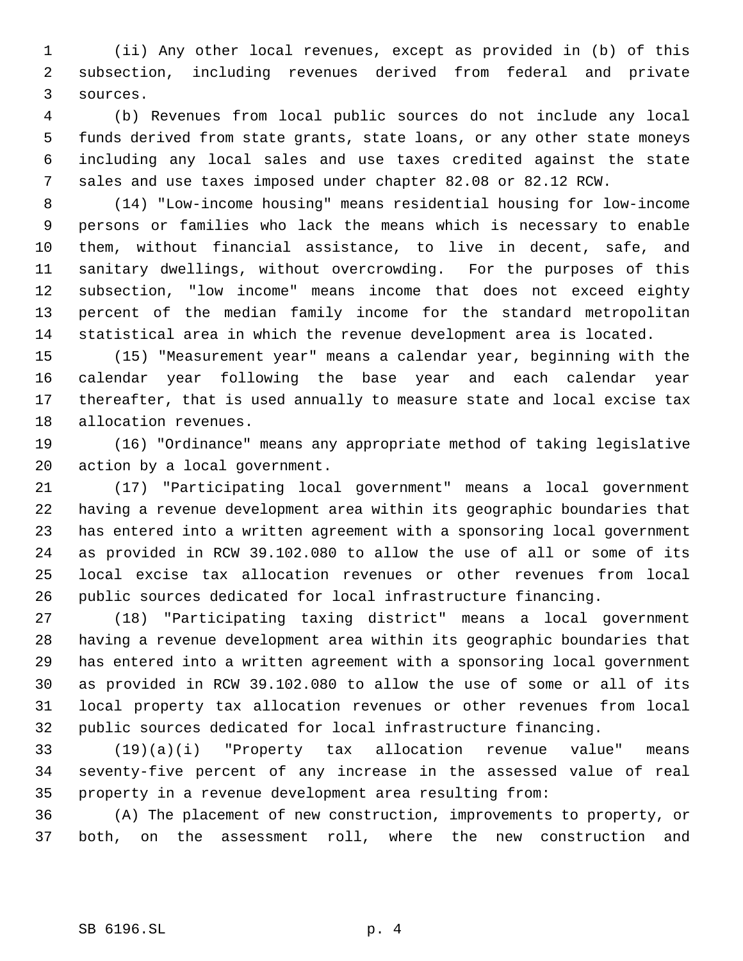(ii) Any other local revenues, except as provided in (b) of this subsection, including revenues derived from federal and private sources.

 (b) Revenues from local public sources do not include any local funds derived from state grants, state loans, or any other state moneys including any local sales and use taxes credited against the state sales and use taxes imposed under chapter 82.08 or 82.12 RCW.

 (14) "Low-income housing" means residential housing for low-income persons or families who lack the means which is necessary to enable them, without financial assistance, to live in decent, safe, and sanitary dwellings, without overcrowding. For the purposes of this subsection, "low income" means income that does not exceed eighty percent of the median family income for the standard metropolitan statistical area in which the revenue development area is located.

 (15) "Measurement year" means a calendar year, beginning with the calendar year following the base year and each calendar year thereafter, that is used annually to measure state and local excise tax allocation revenues.

 (16) "Ordinance" means any appropriate method of taking legislative action by a local government.

 (17) "Participating local government" means a local government having a revenue development area within its geographic boundaries that has entered into a written agreement with a sponsoring local government as provided in RCW 39.102.080 to allow the use of all or some of its local excise tax allocation revenues or other revenues from local public sources dedicated for local infrastructure financing.

 (18) "Participating taxing district" means a local government having a revenue development area within its geographic boundaries that has entered into a written agreement with a sponsoring local government as provided in RCW 39.102.080 to allow the use of some or all of its local property tax allocation revenues or other revenues from local public sources dedicated for local infrastructure financing.

 (19)(a)(i) "Property tax allocation revenue value" means seventy-five percent of any increase in the assessed value of real property in a revenue development area resulting from:

 (A) The placement of new construction, improvements to property, or both, on the assessment roll, where the new construction and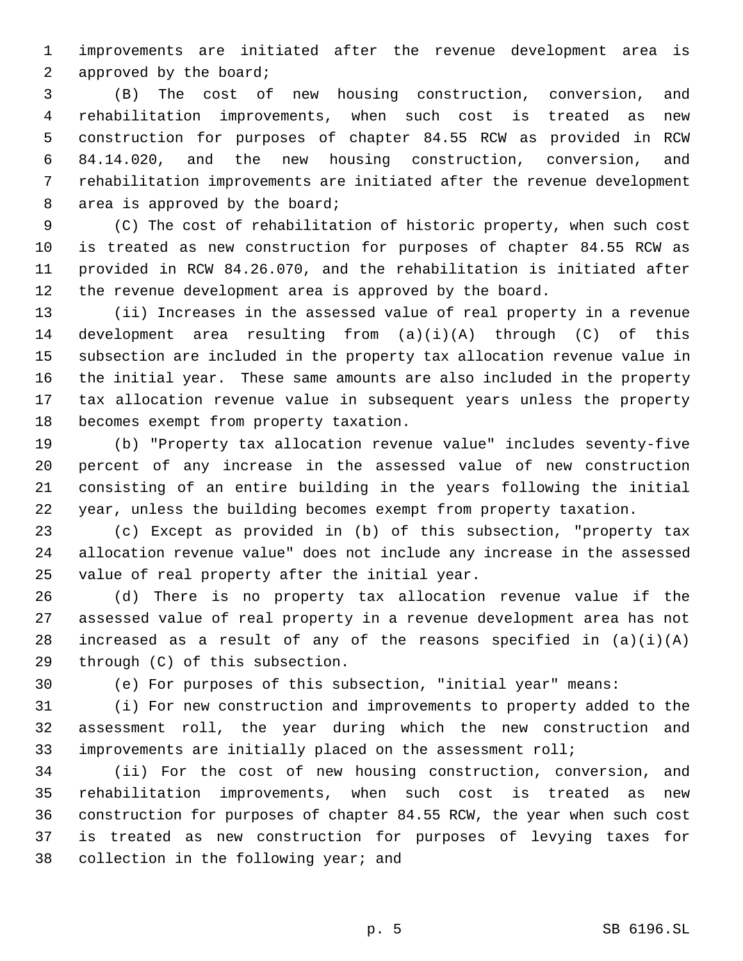improvements are initiated after the revenue development area is approved by the board;

 (B) The cost of new housing construction, conversion, and rehabilitation improvements, when such cost is treated as new construction for purposes of chapter 84.55 RCW as provided in RCW 84.14.020, and the new housing construction, conversion, and rehabilitation improvements are initiated after the revenue development area is approved by the board;

 (C) The cost of rehabilitation of historic property, when such cost is treated as new construction for purposes of chapter 84.55 RCW as provided in RCW 84.26.070, and the rehabilitation is initiated after the revenue development area is approved by the board.

 (ii) Increases in the assessed value of real property in a revenue 14 development area resulting from  $(a)(i)(A)$  through  $(C)$  of this subsection are included in the property tax allocation revenue value in the initial year. These same amounts are also included in the property tax allocation revenue value in subsequent years unless the property becomes exempt from property taxation.

 (b) "Property tax allocation revenue value" includes seventy-five percent of any increase in the assessed value of new construction consisting of an entire building in the years following the initial year, unless the building becomes exempt from property taxation.

 (c) Except as provided in (b) of this subsection, "property tax allocation revenue value" does not include any increase in the assessed value of real property after the initial year.

 (d) There is no property tax allocation revenue value if the assessed value of real property in a revenue development area has not 28 increased as a result of any of the reasons specified in  $(a)(i)(A)$ through (C) of this subsection.

(e) For purposes of this subsection, "initial year" means:

 (i) For new construction and improvements to property added to the assessment roll, the year during which the new construction and improvements are initially placed on the assessment roll;

 (ii) For the cost of new housing construction, conversion, and rehabilitation improvements, when such cost is treated as new construction for purposes of chapter 84.55 RCW, the year when such cost is treated as new construction for purposes of levying taxes for collection in the following year; and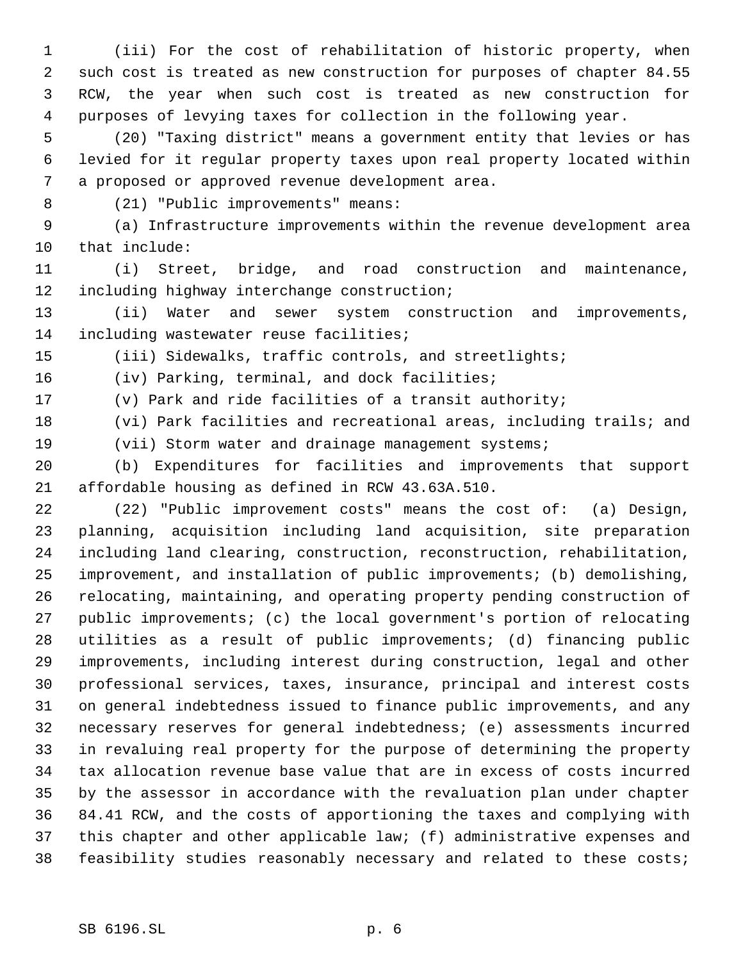(iii) For the cost of rehabilitation of historic property, when such cost is treated as new construction for purposes of chapter 84.55 RCW, the year when such cost is treated as new construction for purposes of levying taxes for collection in the following year.

 (20) "Taxing district" means a government entity that levies or has levied for it regular property taxes upon real property located within a proposed or approved revenue development area.

(21) "Public improvements" means:

 (a) Infrastructure improvements within the revenue development area that include:

 (i) Street, bridge, and road construction and maintenance, including highway interchange construction;

 (ii) Water and sewer system construction and improvements, including wastewater reuse facilities;

(iii) Sidewalks, traffic controls, and streetlights;

(iv) Parking, terminal, and dock facilities;

(v) Park and ride facilities of a transit authority;

 (vi) Park facilities and recreational areas, including trails; and (vii) Storm water and drainage management systems;

 (b) Expenditures for facilities and improvements that support affordable housing as defined in RCW 43.63A.510.

 (22) "Public improvement costs" means the cost of: (a) Design, planning, acquisition including land acquisition, site preparation including land clearing, construction, reconstruction, rehabilitation, improvement, and installation of public improvements; (b) demolishing, relocating, maintaining, and operating property pending construction of public improvements; (c) the local government's portion of relocating utilities as a result of public improvements; (d) financing public improvements, including interest during construction, legal and other professional services, taxes, insurance, principal and interest costs on general indebtedness issued to finance public improvements, and any necessary reserves for general indebtedness; (e) assessments incurred in revaluing real property for the purpose of determining the property tax allocation revenue base value that are in excess of costs incurred by the assessor in accordance with the revaluation plan under chapter 84.41 RCW, and the costs of apportioning the taxes and complying with this chapter and other applicable law; (f) administrative expenses and feasibility studies reasonably necessary and related to these costs;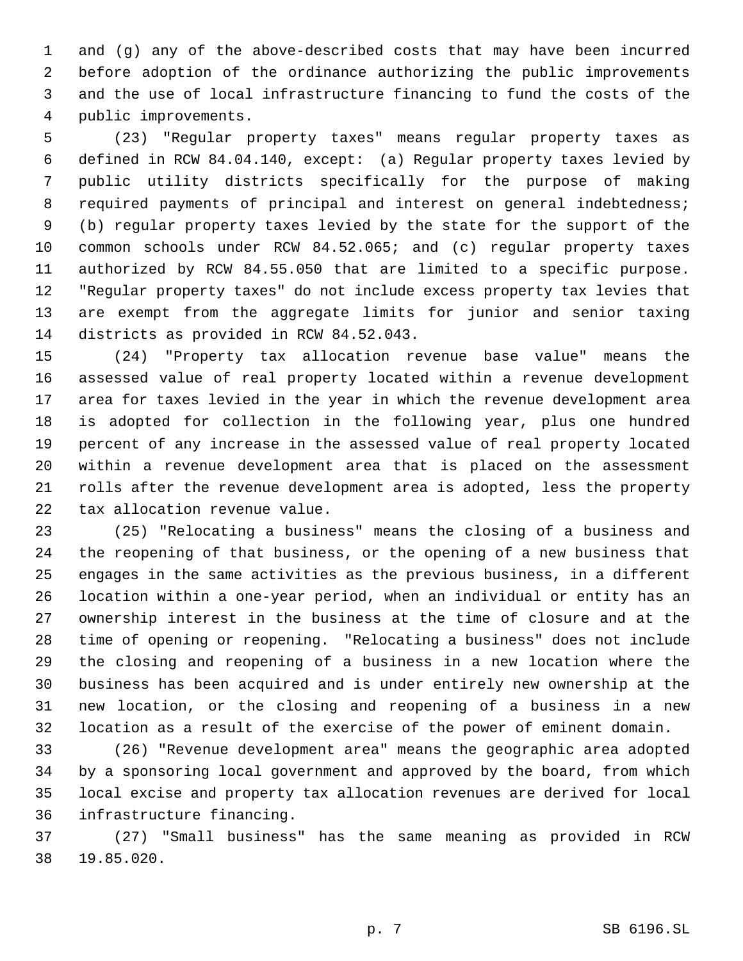and (g) any of the above-described costs that may have been incurred before adoption of the ordinance authorizing the public improvements and the use of local infrastructure financing to fund the costs of the public improvements.

 (23) "Regular property taxes" means regular property taxes as defined in RCW 84.04.140, except: (a) Regular property taxes levied by public utility districts specifically for the purpose of making required payments of principal and interest on general indebtedness; (b) regular property taxes levied by the state for the support of the common schools under RCW 84.52.065; and (c) regular property taxes authorized by RCW 84.55.050 that are limited to a specific purpose. "Regular property taxes" do not include excess property tax levies that are exempt from the aggregate limits for junior and senior taxing districts as provided in RCW 84.52.043.

 (24) "Property tax allocation revenue base value" means the assessed value of real property located within a revenue development area for taxes levied in the year in which the revenue development area is adopted for collection in the following year, plus one hundred percent of any increase in the assessed value of real property located within a revenue development area that is placed on the assessment rolls after the revenue development area is adopted, less the property tax allocation revenue value.

 (25) "Relocating a business" means the closing of a business and the reopening of that business, or the opening of a new business that engages in the same activities as the previous business, in a different location within a one-year period, when an individual or entity has an ownership interest in the business at the time of closure and at the time of opening or reopening. "Relocating a business" does not include the closing and reopening of a business in a new location where the business has been acquired and is under entirely new ownership at the new location, or the closing and reopening of a business in a new location as a result of the exercise of the power of eminent domain.

 (26) "Revenue development area" means the geographic area adopted by a sponsoring local government and approved by the board, from which local excise and property tax allocation revenues are derived for local infrastructure financing.

 (27) "Small business" has the same meaning as provided in RCW 19.85.020.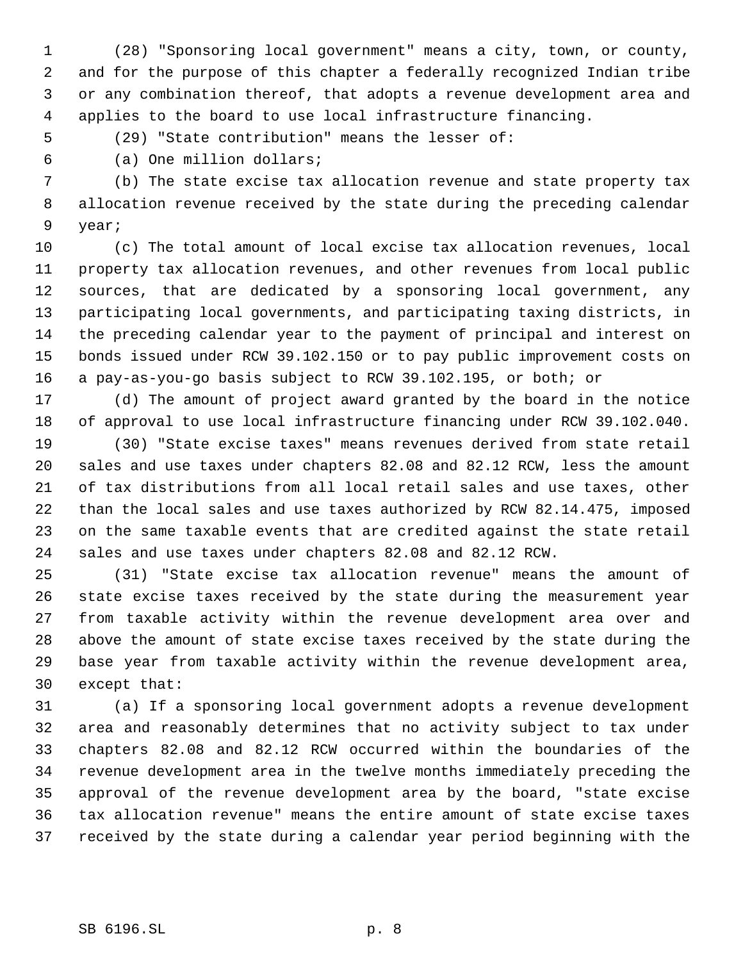(28) "Sponsoring local government" means a city, town, or county, and for the purpose of this chapter a federally recognized Indian tribe or any combination thereof, that adopts a revenue development area and applies to the board to use local infrastructure financing.

(29) "State contribution" means the lesser of:

(a) One million dollars;

 (b) The state excise tax allocation revenue and state property tax allocation revenue received by the state during the preceding calendar year;

 (c) The total amount of local excise tax allocation revenues, local property tax allocation revenues, and other revenues from local public sources, that are dedicated by a sponsoring local government, any participating local governments, and participating taxing districts, in the preceding calendar year to the payment of principal and interest on bonds issued under RCW 39.102.150 or to pay public improvement costs on a pay-as-you-go basis subject to RCW 39.102.195, or both; or

 (d) The amount of project award granted by the board in the notice of approval to use local infrastructure financing under RCW 39.102.040.

 (30) "State excise taxes" means revenues derived from state retail sales and use taxes under chapters 82.08 and 82.12 RCW, less the amount of tax distributions from all local retail sales and use taxes, other than the local sales and use taxes authorized by RCW 82.14.475, imposed on the same taxable events that are credited against the state retail sales and use taxes under chapters 82.08 and 82.12 RCW.

 (31) "State excise tax allocation revenue" means the amount of state excise taxes received by the state during the measurement year from taxable activity within the revenue development area over and above the amount of state excise taxes received by the state during the base year from taxable activity within the revenue development area, except that:

 (a) If a sponsoring local government adopts a revenue development area and reasonably determines that no activity subject to tax under chapters 82.08 and 82.12 RCW occurred within the boundaries of the revenue development area in the twelve months immediately preceding the approval of the revenue development area by the board, "state excise tax allocation revenue" means the entire amount of state excise taxes received by the state during a calendar year period beginning with the